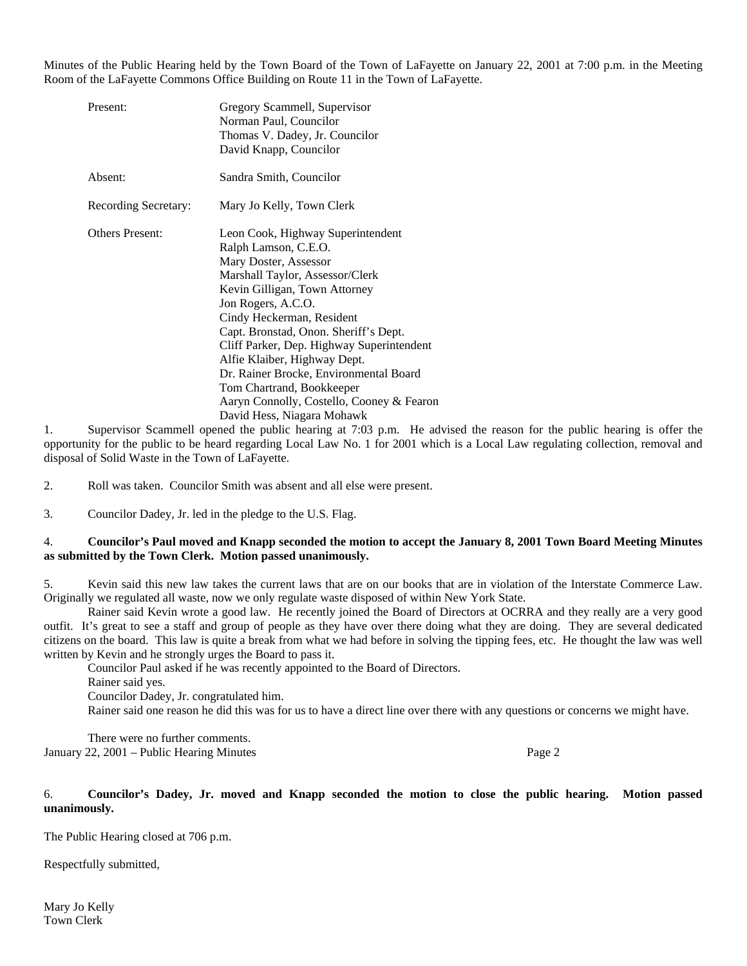Minutes of the Public Hearing held by the Town Board of the Town of LaFayette on January 22, 2001 at 7:00 p.m. in the Meeting Room of the LaFayette Commons Office Building on Route 11 in the Town of LaFayette.

| Present:               | Gregory Scammell, Supervisor<br>Norman Paul, Councilor<br>Thomas V. Dadey, Jr. Councilor<br>David Knapp, Councilor                                                                                                                                                                                                                                                                                                                                                                |
|------------------------|-----------------------------------------------------------------------------------------------------------------------------------------------------------------------------------------------------------------------------------------------------------------------------------------------------------------------------------------------------------------------------------------------------------------------------------------------------------------------------------|
| Absent:                | Sandra Smith, Councilor                                                                                                                                                                                                                                                                                                                                                                                                                                                           |
| Recording Secretary:   | Mary Jo Kelly, Town Clerk                                                                                                                                                                                                                                                                                                                                                                                                                                                         |
| <b>Others Present:</b> | Leon Cook, Highway Superintendent<br>Ralph Lamson, C.E.O.<br>Mary Doster, Assessor<br>Marshall Taylor, Assessor/Clerk<br>Kevin Gilligan, Town Attorney<br>Jon Rogers, A.C.O.<br>Cindy Heckerman, Resident<br>Capt. Bronstad, Onon. Sheriff's Dept.<br>Cliff Parker, Dep. Highway Superintendent<br>Alfie Klaiber, Highway Dept.<br>Dr. Rainer Brocke, Environmental Board<br>Tom Chartrand, Bookkeeper<br>Aaryn Connolly, Costello, Cooney & Fearon<br>David Hess, Niagara Mohawk |

1. Supervisor Scammell opened the public hearing at 7:03 p.m. He advised the reason for the public hearing is offer the opportunity for the public to be heard regarding Local Law No. 1 for 2001 which is a Local Law regulating collection, removal and disposal of Solid Waste in the Town of LaFayette.

2. Roll was taken. Councilor Smith was absent and all else were present.

3. Councilor Dadey, Jr. led in the pledge to the U.S. Flag.

### 4. **Councilor's Paul moved and Knapp seconded the motion to accept the January 8, 2001 Town Board Meeting Minutes as submitted by the Town Clerk. Motion passed unanimously.**

5. Kevin said this new law takes the current laws that are on our books that are in violation of the Interstate Commerce Law. Originally we regulated all waste, now we only regulate waste disposed of within New York State.

 Rainer said Kevin wrote a good law. He recently joined the Board of Directors at OCRRA and they really are a very good outfit. It's great to see a staff and group of people as they have over there doing what they are doing. They are several dedicated citizens on the board. This law is quite a break from what we had before in solving the tipping fees, etc. He thought the law was well written by Kevin and he strongly urges the Board to pass it.

Councilor Paul asked if he was recently appointed to the Board of Directors.

Rainer said yes.

Councilor Dadey, Jr. congratulated him.

Rainer said one reason he did this was for us to have a direct line over there with any questions or concerns we might have.

 There were no further comments. January 22, 2001 – Public Hearing Minutes Page 2

# 6. **Councilor's Dadey, Jr. moved and Knapp seconded the motion to close the public hearing. Motion passed unanimously.**

The Public Hearing closed at 706 p.m.

Respectfully submitted,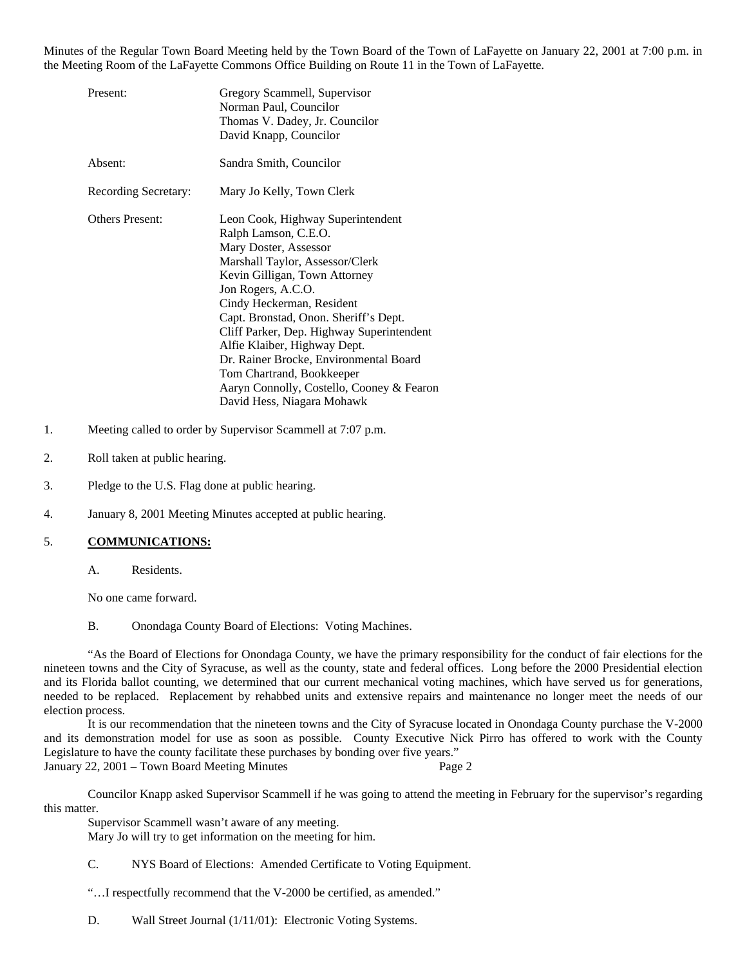Minutes of the Regular Town Board Meeting held by the Town Board of the Town of LaFayette on January 22, 2001 at 7:00 p.m. in the Meeting Room of the LaFayette Commons Office Building on Route 11 in the Town of LaFayette.

| Present:               | Gregory Scammell, Supervisor<br>Norman Paul, Councilor<br>Thomas V. Dadey, Jr. Councilor<br>David Knapp, Councilor                                                                                                                                                                                                                                                                                                                                                                |
|------------------------|-----------------------------------------------------------------------------------------------------------------------------------------------------------------------------------------------------------------------------------------------------------------------------------------------------------------------------------------------------------------------------------------------------------------------------------------------------------------------------------|
| Absent:                | Sandra Smith, Councilor                                                                                                                                                                                                                                                                                                                                                                                                                                                           |
| Recording Secretary:   | Mary Jo Kelly, Town Clerk                                                                                                                                                                                                                                                                                                                                                                                                                                                         |
| <b>Others Present:</b> | Leon Cook, Highway Superintendent<br>Ralph Lamson, C.E.O.<br>Mary Doster, Assessor<br>Marshall Taylor, Assessor/Clerk<br>Kevin Gilligan, Town Attorney<br>Jon Rogers, A.C.O.<br>Cindy Heckerman, Resident<br>Capt. Bronstad, Onon. Sheriff's Dept.<br>Cliff Parker, Dep. Highway Superintendent<br>Alfie Klaiber, Highway Dept.<br>Dr. Rainer Brocke, Environmental Board<br>Tom Chartrand, Bookkeeper<br>Aaryn Connolly, Costello, Cooney & Fearon<br>David Hess, Niagara Mohawk |

- 1. Meeting called to order by Supervisor Scammell at 7:07 p.m.
- 2. Roll taken at public hearing.
- 3. Pledge to the U.S. Flag done at public hearing.
- 4. January 8, 2001 Meeting Minutes accepted at public hearing.

### 5. **COMMUNICATIONS:**

A. Residents.

No one came forward.

B. Onondaga County Board of Elections: Voting Machines.

 "As the Board of Elections for Onondaga County, we have the primary responsibility for the conduct of fair elections for the nineteen towns and the City of Syracuse, as well as the county, state and federal offices. Long before the 2000 Presidential election and its Florida ballot counting, we determined that our current mechanical voting machines, which have served us for generations, needed to be replaced. Replacement by rehabbed units and extensive repairs and maintenance no longer meet the needs of our election process.

 It is our recommendation that the nineteen towns and the City of Syracuse located in Onondaga County purchase the V-2000 and its demonstration model for use as soon as possible. County Executive Nick Pirro has offered to work with the County Legislature to have the county facilitate these purchases by bonding over five years." January 22, 2001 – Town Board Meeting Minutes Page 2

 Councilor Knapp asked Supervisor Scammell if he was going to attend the meeting in February for the supervisor's regarding this matter.

 Supervisor Scammell wasn't aware of any meeting. Mary Jo will try to get information on the meeting for him.

C. NYS Board of Elections: Amended Certificate to Voting Equipment.

"…I respectfully recommend that the V-2000 be certified, as amended."

D. Wall Street Journal (1/11/01): Electronic Voting Systems.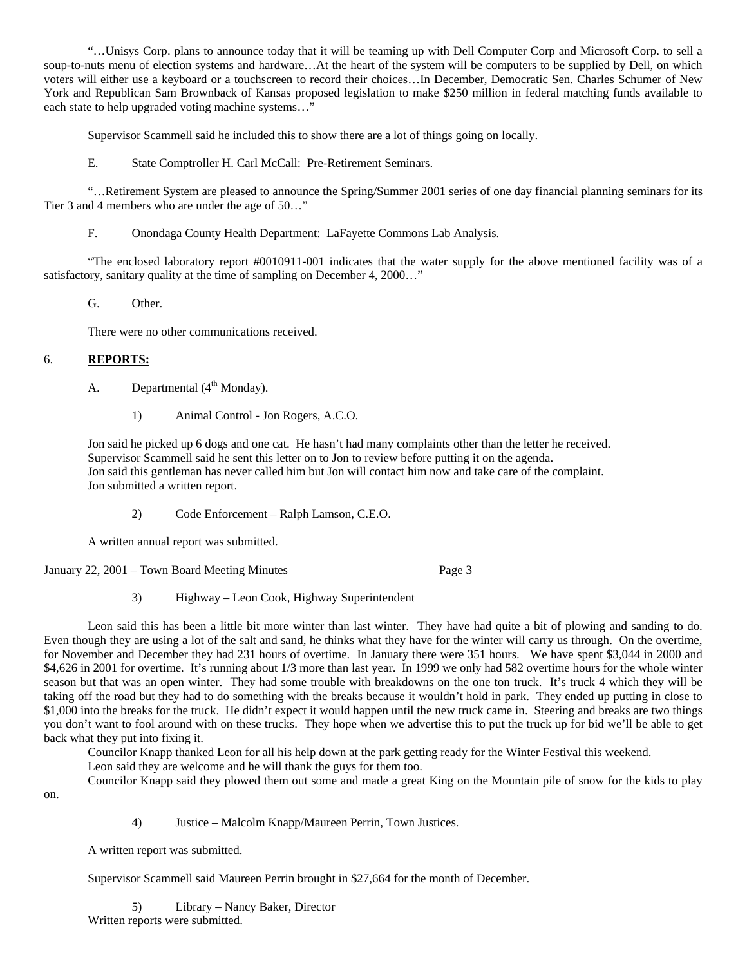"…Unisys Corp. plans to announce today that it will be teaming up with Dell Computer Corp and Microsoft Corp. to sell a soup-to-nuts menu of election systems and hardware…At the heart of the system will be computers to be supplied by Dell, on which voters will either use a keyboard or a touchscreen to record their choices…In December, Democratic Sen. Charles Schumer of New York and Republican Sam Brownback of Kansas proposed legislation to make \$250 million in federal matching funds available to each state to help upgraded voting machine systems…"

Supervisor Scammell said he included this to show there are a lot of things going on locally.

E. State Comptroller H. Carl McCall: Pre-Retirement Seminars.

 "…Retirement System are pleased to announce the Spring/Summer 2001 series of one day financial planning seminars for its Tier 3 and 4 members who are under the age of 50…"

F. Onondaga County Health Department: LaFayette Commons Lab Analysis.

 "The enclosed laboratory report #0010911-001 indicates that the water supply for the above mentioned facility was of a satisfactory, sanitary quality at the time of sampling on December 4, 2000..."

G. Other.

There were no other communications received.

# 6. **REPORTS:**

A. Departmental  $(4<sup>th</sup> Monday)$ .

1) Animal Control - Jon Rogers, A.C.O.

 Jon said he picked up 6 dogs and one cat. He hasn't had many complaints other than the letter he received. Supervisor Scammell said he sent this letter on to Jon to review before putting it on the agenda. Jon said this gentleman has never called him but Jon will contact him now and take care of the complaint. Jon submitted a written report.

2) Code Enforcement – Ralph Lamson, C.E.O.

A written annual report was submitted.

January 22, 2001 – Town Board Meeting Minutes Page 3

3) Highway – Leon Cook, Highway Superintendent

 Leon said this has been a little bit more winter than last winter. They have had quite a bit of plowing and sanding to do. Even though they are using a lot of the salt and sand, he thinks what they have for the winter will carry us through. On the overtime, for November and December they had 231 hours of overtime. In January there were 351 hours. We have spent \$3,044 in 2000 and \$4,626 in 2001 for overtime. It's running about 1/3 more than last year. In 1999 we only had 582 overtime hours for the whole winter season but that was an open winter. They had some trouble with breakdowns on the one ton truck. It's truck 4 which they will be taking off the road but they had to do something with the breaks because it wouldn't hold in park. They ended up putting in close to \$1,000 into the breaks for the truck. He didn't expect it would happen until the new truck came in. Steering and breaks are two things you don't want to fool around with on these trucks. They hope when we advertise this to put the truck up for bid we'll be able to get back what they put into fixing it.

Councilor Knapp thanked Leon for all his help down at the park getting ready for the Winter Festival this weekend.

Leon said they are welcome and he will thank the guys for them too.

Councilor Knapp said they plowed them out some and made a great King on the Mountain pile of snow for the kids to play

on.

4) Justice – Malcolm Knapp/Maureen Perrin, Town Justices.

A written report was submitted.

Supervisor Scammell said Maureen Perrin brought in \$27,664 for the month of December.

5) Library – Nancy Baker, Director Written reports were submitted.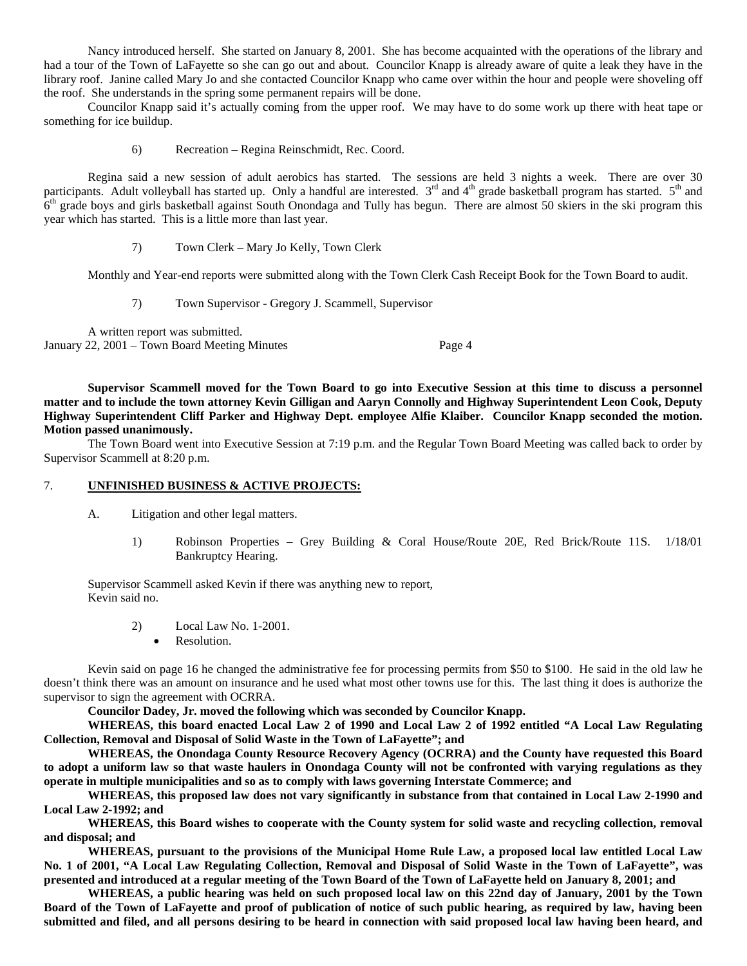Nancy introduced herself. She started on January 8, 2001. She has become acquainted with the operations of the library and had a tour of the Town of LaFayette so she can go out and about. Councilor Knapp is already aware of quite a leak they have in the library roof. Janine called Mary Jo and she contacted Councilor Knapp who came over within the hour and people were shoveling off the roof. She understands in the spring some permanent repairs will be done.

 Councilor Knapp said it's actually coming from the upper roof. We may have to do some work up there with heat tape or something for ice buildup.

6) Recreation – Regina Reinschmidt, Rec. Coord.

 Regina said a new session of adult aerobics has started. The sessions are held 3 nights a week. There are over 30 participants. Adult volleyball has started up. Only a handful are interested.  $3<sup>rd</sup>$  and  $4<sup>th</sup>$  grade basketball program has started.  $5<sup>th</sup>$  and  $6<sup>th</sup>$  grade boys and girls basketball against South Onondaga and Tully has begun. There are almost 50 skiers in the ski program this year which has started. This is a little more than last year.

7) Town Clerk – Mary Jo Kelly, Town Clerk

Monthly and Year-end reports were submitted along with the Town Clerk Cash Receipt Book for the Town Board to audit.

7) Town Supervisor - Gregory J. Scammell, Supervisor

 A written report was submitted. January 22, 2001 – Town Board Meeting Minutes Page 4

**Supervisor Scammell moved for the Town Board to go into Executive Session at this time to discuss a personnel matter and to include the town attorney Kevin Gilligan and Aaryn Connolly and Highway Superintendent Leon Cook, Deputy Highway Superintendent Cliff Parker and Highway Dept. employee Alfie Klaiber. Councilor Knapp seconded the motion. Motion passed unanimously.**

 The Town Board went into Executive Session at 7:19 p.m. and the Regular Town Board Meeting was called back to order by Supervisor Scammell at 8:20 p.m.

#### 7. **UNFINISHED BUSINESS & ACTIVE PROJECTS:**

- A. Litigation and other legal matters.
	- 1) Robinson Properties Grey Building & Coral House/Route 20E, Red Brick/Route 11S. 1/18/01 Bankruptcy Hearing.

 Supervisor Scammell asked Kevin if there was anything new to report, Kevin said no.

- 2) Local Law No. 1-2001.
	- Resolution.

 Kevin said on page 16 he changed the administrative fee for processing permits from \$50 to \$100. He said in the old law he doesn't think there was an amount on insurance and he used what most other towns use for this. The last thing it does is authorize the supervisor to sign the agreement with OCRRA.

 **Councilor Dadey, Jr. moved the following which was seconded by Councilor Knapp.** 

**WHEREAS, this board enacted Local Law 2 of 1990 and Local Law 2 of 1992 entitled "A Local Law Regulating Collection, Removal and Disposal of Solid Waste in the Town of LaFayette"; and** 

**WHEREAS, the Onondaga County Resource Recovery Agency (OCRRA) and the County have requested this Board to adopt a uniform law so that waste haulers in Onondaga County will not be confronted with varying regulations as they operate in multiple municipalities and so as to comply with laws governing Interstate Commerce; and** 

**WHEREAS, this proposed law does not vary significantly in substance from that contained in Local Law 2-1990 and Local Law 2-1992; and** 

**WHEREAS, this Board wishes to cooperate with the County system for solid waste and recycling collection, removal and disposal; and** 

**WHEREAS, pursuant to the provisions of the Municipal Home Rule Law, a proposed local law entitled Local Law No. 1 of 2001, "A Local Law Regulating Collection, Removal and Disposal of Solid Waste in the Town of LaFayette", was presented and introduced at a regular meeting of the Town Board of the Town of LaFayette held on January 8, 2001; and** 

**WHEREAS, a public hearing was held on such proposed local law on this 22nd day of January, 2001 by the Town Board of the Town of LaFayette and proof of publication of notice of such public hearing, as required by law, having been submitted and filed, and all persons desiring to be heard in connection with said proposed local law having been heard, and**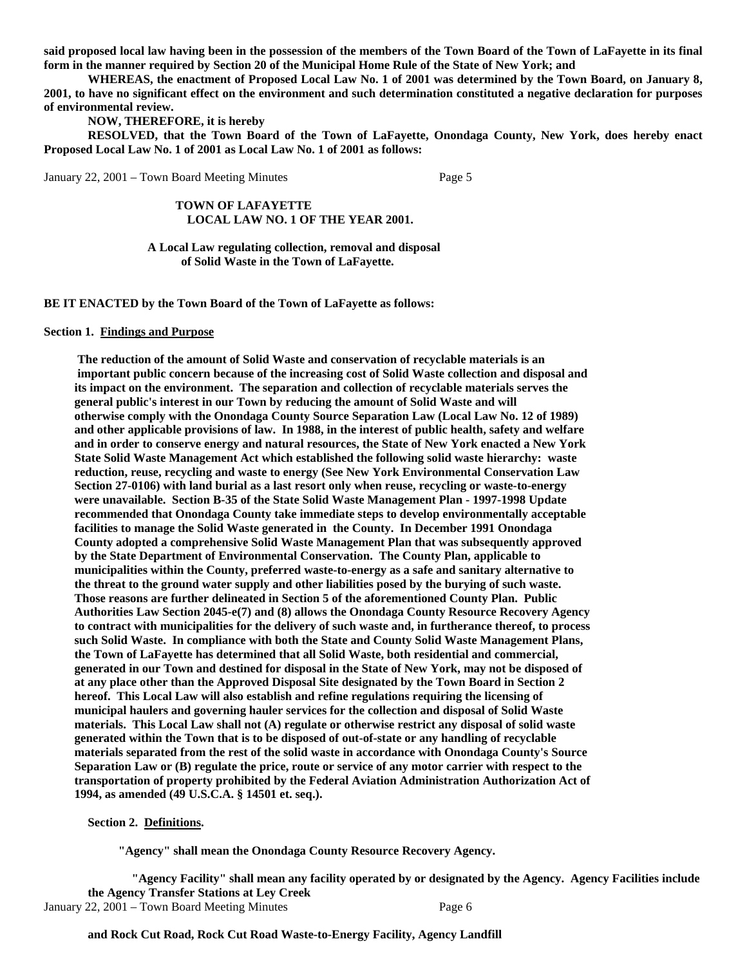**said proposed local law having been in the possession of the members of the Town Board of the Town of LaFayette in its final form in the manner required by Section 20 of the Municipal Home Rule of the State of New York; and** 

**WHEREAS, the enactment of Proposed Local Law No. 1 of 2001 was determined by the Town Board, on January 8, 2001, to have no significant effect on the environment and such determination constituted a negative declaration for purposes of environmental review.** 

# **NOW, THEREFORE, it is hereby**

**RESOLVED, that the Town Board of the Town of LaFayette, Onondaga County, New York, does hereby enact Proposed Local Law No. 1 of 2001 as Local Law No. 1 of 2001 as follows:** 

January 22, 2001 – Town Board Meeting Minutes Page 5

# **TOWN OF LAFAYETTE LOCAL LAW NO. 1 OF THE YEAR 2001.**

#### **A Local Law regulating collection, removal and disposal of Solid Waste in the Town of LaFayette.**

**BE IT ENACTED by the Town Board of the Town of LaFayette as follows:** 

#### **Section 1. Findings and Purpose**

 **The reduction of the amount of Solid Waste and conservation of recyclable materials is an important public concern because of the increasing cost of Solid Waste collection and disposal and its impact on the environment. The separation and collection of recyclable materials serves the general public's interest in our Town by reducing the amount of Solid Waste and will otherwise comply with the Onondaga County Source Separation Law (Local Law No. 12 of 1989) and other applicable provisions of law. In 1988, in the interest of public health, safety and welfare and in order to conserve energy and natural resources, the State of New York enacted a New York State Solid Waste Management Act which established the following solid waste hierarchy: waste reduction, reuse, recycling and waste to energy (See New York Environmental Conservation Law Section 27-0106) with land burial as a last resort only when reuse, recycling or waste-to-energy were unavailable. Section B-35 of the State Solid Waste Management Plan - 1997-1998 Update recommended that Onondaga County take immediate steps to develop environmentally acceptable facilities to manage the Solid Waste generated in the County. In December 1991 Onondaga County adopted a comprehensive Solid Waste Management Plan that was subsequently approved by the State Department of Environmental Conservation. The County Plan, applicable to municipalities within the County, preferred waste-to-energy as a safe and sanitary alternative to the threat to the ground water supply and other liabilities posed by the burying of such waste. Those reasons are further delineated in Section 5 of the aforementioned County Plan. Public Authorities Law Section 2045-e(7) and (8) allows the Onondaga County Resource Recovery Agency to contract with municipalities for the delivery of such waste and, in furtherance thereof, to process such Solid Waste. In compliance with both the State and County Solid Waste Management Plans, the Town of LaFayette has determined that all Solid Waste, both residential and commercial, generated in our Town and destined for disposal in the State of New York, may not be disposed of at any place other than the Approved Disposal Site designated by the Town Board in Section 2 hereof. This Local Law will also establish and refine regulations requiring the licensing of municipal haulers and governing hauler services for the collection and disposal of Solid Waste materials. This Local Law shall not (A) regulate or otherwise restrict any disposal of solid waste generated within the Town that is to be disposed of out-of-state or any handling of recyclable materials separated from the rest of the solid waste in accordance with Onondaga County's Source Separation Law or (B) regulate the price, route or service of any motor carrier with respect to the transportation of property prohibited by the Federal Aviation Administration Authorization Act of 1994, as amended (49 U.S.C.A. § 14501 et. seq.).** 

**Section 2. Definitions.** 

 **"Agency" shall mean the Onondaga County Resource Recovery Agency.** 

 **"Agency Facility" shall mean any facility operated by or designated by the Agency. Agency Facilities include the Agency Transfer Stations at Ley Creek**  January 22, 2001 – Town Board Meeting Minutes Page 6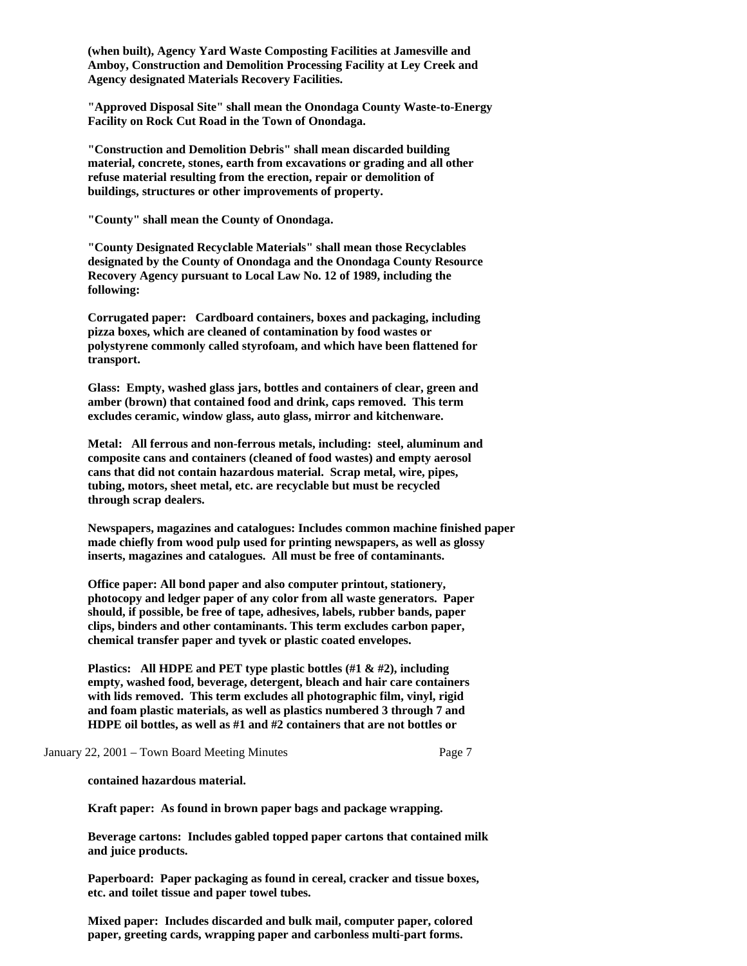**(when built), Agency Yard Waste Composting Facilities at Jamesville and Amboy, Construction and Demolition Processing Facility at Ley Creek and Agency designated Materials Recovery Facilities.** 

**"Approved Disposal Site" shall mean the Onondaga County Waste-to-Energy Facility on Rock Cut Road in the Town of Onondaga.** 

**"Construction and Demolition Debris" shall mean discarded building material, concrete, stones, earth from excavations or grading and all other refuse material resulting from the erection, repair or demolition of buildings, structures or other improvements of property.** 

**"County" shall mean the County of Onondaga.** 

**"County Designated Recyclable Materials" shall mean those Recyclables designated by the County of Onondaga and the Onondaga County Resource Recovery Agency pursuant to Local Law No. 12 of 1989, including the following:** 

**Corrugated paper: Cardboard containers, boxes and packaging, including pizza boxes, which are cleaned of contamination by food wastes or polystyrene commonly called styrofoam, and which have been flattened for transport.** 

**Glass: Empty, washed glass jars, bottles and containers of clear, green and amber (brown) that contained food and drink, caps removed. This term excludes ceramic, window glass, auto glass, mirror and kitchenware.** 

**Metal: All ferrous and non-ferrous metals, including: steel, aluminum and composite cans and containers (cleaned of food wastes) and empty aerosol cans that did not contain hazardous material. Scrap metal, wire, pipes, tubing, motors, sheet metal, etc. are recyclable but must be recycled through scrap dealers.** 

**Newspapers, magazines and catalogues: Includes common machine finished paper made chiefly from wood pulp used for printing newspapers, as well as glossy inserts, magazines and catalogues. All must be free of contaminants.** 

**Office paper: All bond paper and also computer printout, stationery, photocopy and ledger paper of any color from all waste generators. Paper should, if possible, be free of tape, adhesives, labels, rubber bands, paper clips, binders and other contaminants. This term excludes carbon paper, chemical transfer paper and tyvek or plastic coated envelopes.** 

**Plastics: All HDPE and PET type plastic bottles (#1 & #2), including empty, washed food, beverage, detergent, bleach and hair care containers with lids removed. This term excludes all photographic film, vinyl, rigid and foam plastic materials, as well as plastics numbered 3 through 7 and HDPE oil bottles, as well as #1 and #2 containers that are not bottles or** 

### January 22, 2001 – Town Board Meeting Minutes Page 7

**contained hazardous material.** 

**Kraft paper: As found in brown paper bags and package wrapping.** 

**Beverage cartons: Includes gabled topped paper cartons that contained milk and juice products.** 

**Paperboard: Paper packaging as found in cereal, cracker and tissue boxes, etc. and toilet tissue and paper towel tubes.** 

**Mixed paper: Includes discarded and bulk mail, computer paper, colored paper, greeting cards, wrapping paper and carbonless multi-part forms.**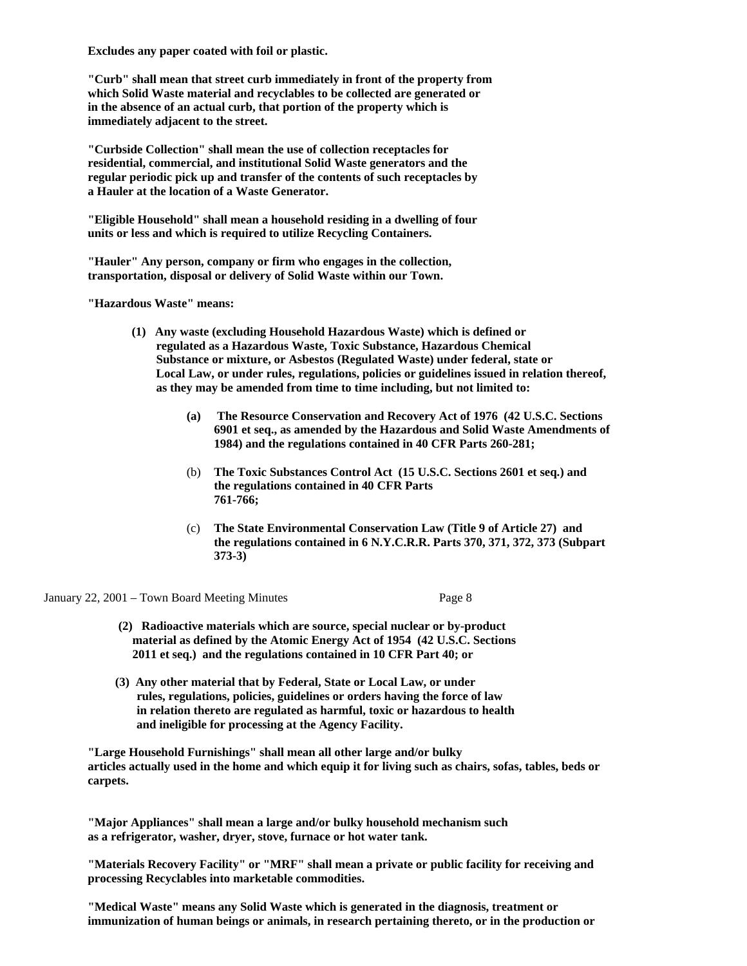**Excludes any paper coated with foil or plastic.** 

**"Curb" shall mean that street curb immediately in front of the property from which Solid Waste material and recyclables to be collected are generated or in the absence of an actual curb, that portion of the property which is immediately adjacent to the street.** 

**"Curbside Collection" shall mean the use of collection receptacles for residential, commercial, and institutional Solid Waste generators and the regular periodic pick up and transfer of the contents of such receptacles by a Hauler at the location of a Waste Generator.** 

**"Eligible Household" shall mean a household residing in a dwelling of four units or less and which is required to utilize Recycling Containers.** 

**"Hauler" Any person, company or firm who engages in the collection, transportation, disposal or delivery of Solid Waste within our Town.** 

**"Hazardous Waste" means:** 

- **(1) Any waste (excluding Household Hazardous Waste) which is defined or regulated as a Hazardous Waste, Toxic Substance, Hazardous Chemical Substance or mixture, or Asbestos (Regulated Waste) under federal, state or Local Law, or under rules, regulations, policies or guidelines issued in relation thereof, as they may be amended from time to time including, but not limited to:** 
	- **(a) The Resource Conservation and Recovery Act of 1976 (42 U.S.C. Sections 6901 et seq., as amended by the Hazardous and Solid Waste Amendments of 1984) and the regulations contained in 40 CFR Parts 260-281;**
	- (b) **The Toxic Substances Control Act (15 U.S.C. Sections 2601 et seq.) and the regulations contained in 40 CFR Parts 761-766;**
	- (c) **The State Environmental Conservation Law (Title 9 of Article 27) and the regulations contained in 6 N.Y.C.R.R. Parts 370, 371, 372, 373 (Subpart 373-3)**

January 22, 2001 – Town Board Meeting Minutes Page 8

- **(2) Radioactive materials which are source, special nuclear or by-product material as defined by the Atomic Energy Act of 1954 (42 U.S.C. Sections 2011 et seq.) and the regulations contained in 10 CFR Part 40; or**
- **(3) Any other material that by Federal, State or Local Law, or under rules, regulations, policies, guidelines or orders having the force of law in relation thereto are regulated as harmful, toxic or hazardous to health and ineligible for processing at the Agency Facility.**

 **"Large Household Furnishings" shall mean all other large and/or bulky articles actually used in the home and which equip it for living such as chairs, sofas, tables, beds or carpets.** 

 **"Major Appliances" shall mean a large and/or bulky household mechanism such as a refrigerator, washer, dryer, stove, furnace or hot water tank.** 

 **"Materials Recovery Facility" or "MRF" shall mean a private or public facility for receiving and processing Recyclables into marketable commodities.** 

 **"Medical Waste" means any Solid Waste which is generated in the diagnosis, treatment or immunization of human beings or animals, in research pertaining thereto, or in the production or**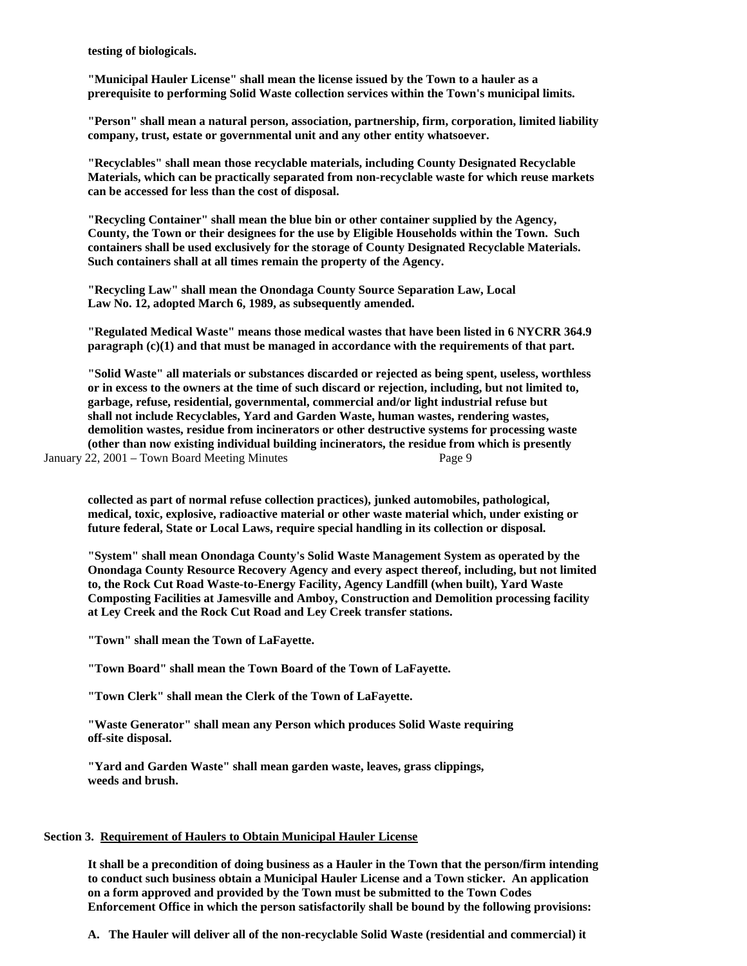**testing of biologicals.** 

 **"Municipal Hauler License" shall mean the license issued by the Town to a hauler as a prerequisite to performing Solid Waste collection services within the Town's municipal limits.** 

 **"Person" shall mean a natural person, association, partnership, firm, corporation, limited liability company, trust, estate or governmental unit and any other entity whatsoever.** 

 **"Recyclables" shall mean those recyclable materials, including County Designated Recyclable Materials, which can be practically separated from non-recyclable waste for which reuse markets can be accessed for less than the cost of disposal.** 

 **"Recycling Container" shall mean the blue bin or other container supplied by the Agency, County, the Town or their designees for the use by Eligible Households within the Town. Such containers shall be used exclusively for the storage of County Designated Recyclable Materials. Such containers shall at all times remain the property of the Agency.** 

 **"Recycling Law" shall mean the Onondaga County Source Separation Law, Local Law No. 12, adopted March 6, 1989, as subsequently amended.** 

 **"Regulated Medical Waste" means those medical wastes that have been listed in 6 NYCRR 364.9 paragraph (c)(1) and that must be managed in accordance with the requirements of that part.** 

 **"Solid Waste" all materials or substances discarded or rejected as being spent, useless, worthless or in excess to the owners at the time of such discard or rejection, including, but not limited to, garbage, refuse, residential, governmental, commercial and/or light industrial refuse but shall not include Recyclables, Yard and Garden Waste, human wastes, rendering wastes, demolition wastes, residue from incinerators or other destructive systems for processing waste (other than now existing individual building incinerators, the residue from which is presently** 

January 22, 2001 – Town Board Meeting Minutes Page 9

 **collected as part of normal refuse collection practices), junked automobiles, pathological, medical, toxic, explosive, radioactive material or other waste material which, under existing or future federal, State or Local Laws, require special handling in its collection or disposal.** 

 **"System" shall mean Onondaga County's Solid Waste Management System as operated by the Onondaga County Resource Recovery Agency and every aspect thereof, including, but not limited to, the Rock Cut Road Waste-to-Energy Facility, Agency Landfill (when built), Yard Waste Composting Facilities at Jamesville and Amboy, Construction and Demolition processing facility at Ley Creek and the Rock Cut Road and Ley Creek transfer stations.** 

 **"Town" shall mean the Town of LaFayette.** 

 **"Town Board" shall mean the Town Board of the Town of LaFayette.** 

 **"Town Clerk" shall mean the Clerk of the Town of LaFayette.** 

 **"Waste Generator" shall mean any Person which produces Solid Waste requiring off-site disposal.** 

 **"Yard and Garden Waste" shall mean garden waste, leaves, grass clippings, weeds and brush.** 

#### **Section 3. Requirement of Haulers to Obtain Municipal Hauler License**

 **It shall be a precondition of doing business as a Hauler in the Town that the person/firm intending to conduct such business obtain a Municipal Hauler License and a Town sticker. An application on a form approved and provided by the Town must be submitted to the Town Codes Enforcement Office in which the person satisfactorily shall be bound by the following provisions:** 

 **A. The Hauler will deliver all of the non-recyclable Solid Waste (residential and commercial) it**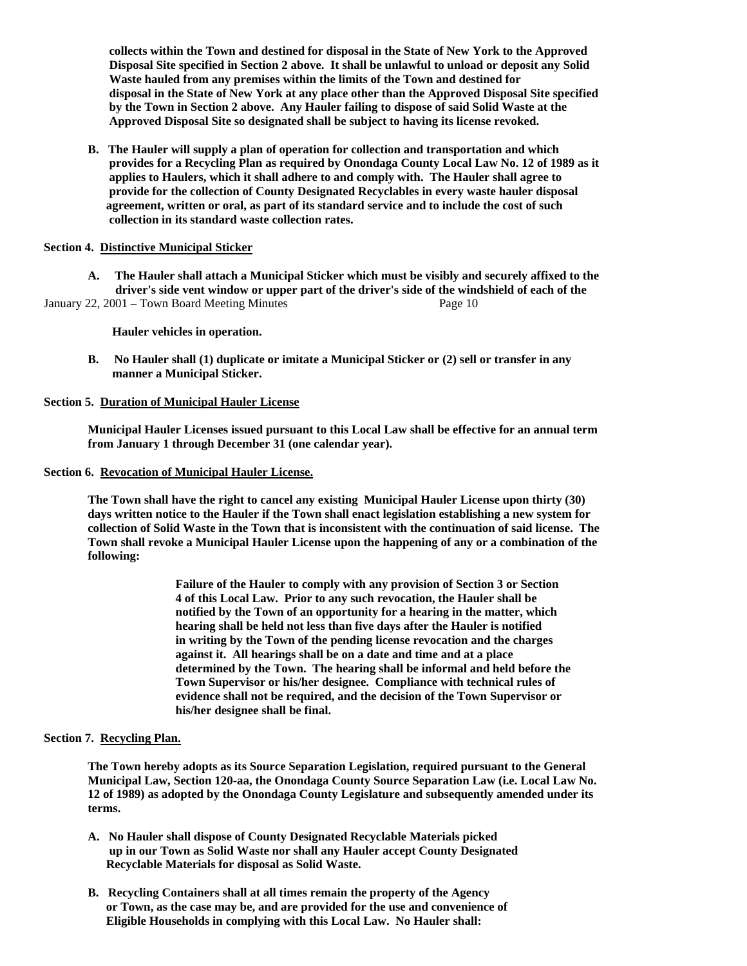**collects within the Town and destined for disposal in the State of New York to the Approved Disposal Site specified in Section 2 above. It shall be unlawful to unload or deposit any Solid Waste hauled from any premises within the limits of the Town and destined for disposal in the State of New York at any place other than the Approved Disposal Site specified by the Town in Section 2 above. Any Hauler failing to dispose of said Solid Waste at the Approved Disposal Site so designated shall be subject to having its license revoked.** 

 **B. The Hauler will supply a plan of operation for collection and transportation and which provides for a Recycling Plan as required by Onondaga County Local Law No. 12 of 1989 as it applies to Haulers, which it shall adhere to and comply with. The Hauler shall agree to provide for the collection of County Designated Recyclables in every waste hauler disposal agreement, written or oral, as part of its standard service and to include the cost of such collection in its standard waste collection rates.** 

# **Section 4. Distinctive Municipal Sticker**

 **A. The Hauler shall attach a Municipal Sticker which must be visibly and securely affixed to the driver's side vent window or upper part of the driver's side of the windshield of each of the**  January 22, 2001 – Town Board Meeting Minutes Page 10

 **Hauler vehicles in operation.** 

 **B. No Hauler shall (1) duplicate or imitate a Municipal Sticker or (2) sell or transfer in any manner a Municipal Sticker.** 

### **Section 5. Duration of Municipal Hauler License**

 **Municipal Hauler Licenses issued pursuant to this Local Law shall be effective for an annual term from January 1 through December 31 (one calendar year).** 

**Section 6. Revocation of Municipal Hauler License.**

 **The Town shall have the right to cancel any existing Municipal Hauler License upon thirty (30) days written notice to the Hauler if the Town shall enact legislation establishing a new system for collection of Solid Waste in the Town that is inconsistent with the continuation of said license. The Town shall revoke a Municipal Hauler License upon the happening of any or a combination of the following:** 

> **Failure of the Hauler to comply with any provision of Section 3 or Section 4 of this Local Law. Prior to any such revocation, the Hauler shall be notified by the Town of an opportunity for a hearing in the matter, which hearing shall be held not less than five days after the Hauler is notified in writing by the Town of the pending license revocation and the charges against it. All hearings shall be on a date and time and at a place determined by the Town. The hearing shall be informal and held before the Town Supervisor or his/her designee. Compliance with technical rules of evidence shall not be required, and the decision of the Town Supervisor or his/her designee shall be final.**

### **Section 7. Recycling Plan.**

 **The Town hereby adopts as its Source Separation Legislation, required pursuant to the General Municipal Law, Section 120-aa, the Onondaga County Source Separation Law (i.e. Local Law No. 12 of 1989) as adopted by the Onondaga County Legislature and subsequently amended under its terms.** 

- **A. No Hauler shall dispose of County Designated Recyclable Materials picked up in our Town as Solid Waste nor shall any Hauler accept County Designated Recyclable Materials for disposal as Solid Waste.**
- **B. Recycling Containers shall at all times remain the property of the Agency or Town, as the case may be, and are provided for the use and convenience of Eligible Households in complying with this Local Law. No Hauler shall:**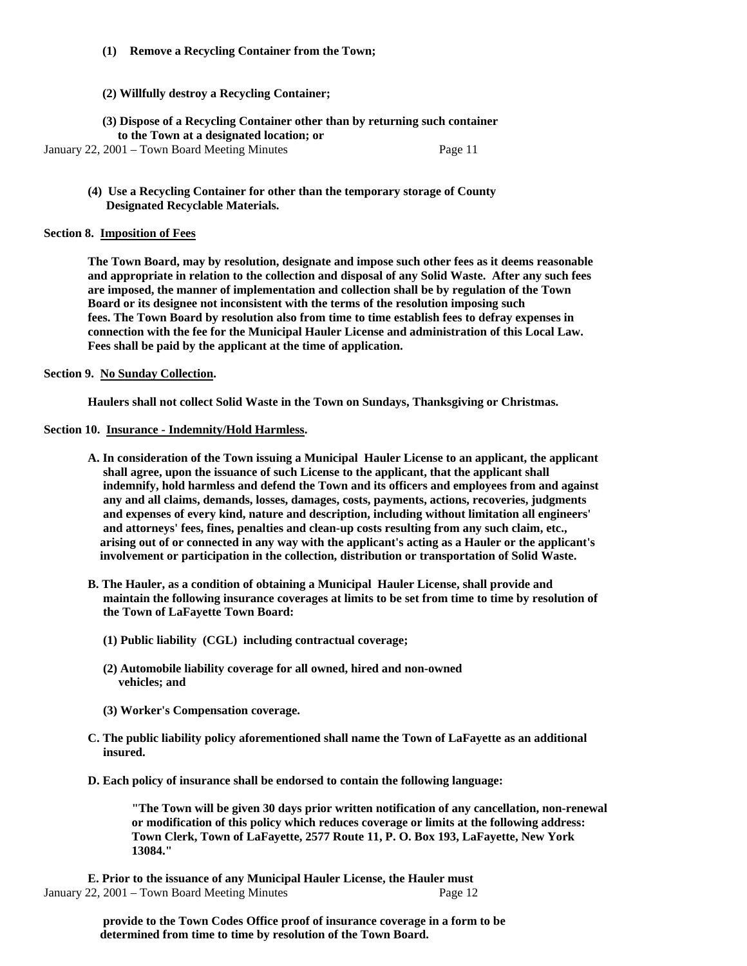# **(1) Remove a Recycling Container from the Town;**

# **(2) Willfully destroy a Recycling Container;**

**(3) Dispose of a Recycling Container other than by returning such container to the Town at a designated location; or** 

January 22, 2001 – Town Board Meeting Minutes Page 11

**(4) Use a Recycling Container for other than the temporary storage of County Designated Recyclable Materials.** 

#### **Section 8. Imposition of Fees**

 **The Town Board, may by resolution, designate and impose such other fees as it deems reasonable and appropriate in relation to the collection and disposal of any Solid Waste. After any such fees are imposed, the manner of implementation and collection shall be by regulation of the Town Board or its designee not inconsistent with the terms of the resolution imposing such fees. The Town Board by resolution also from time to time establish fees to defray expenses in connection with the fee for the Municipal Hauler License and administration of this Local Law. Fees shall be paid by the applicant at the time of application.** 

#### **Section 9. No Sunday Collection.**

 **Haulers shall not collect Solid Waste in the Town on Sundays, Thanksgiving or Christmas.** 

# **Section 10. Insurance - Indemnity/Hold Harmless.**

- **A. In consideration of the Town issuing a Municipal Hauler License to an applicant, the applicant shall agree, upon the issuance of such License to the applicant, that the applicant shall indemnify, hold harmless and defend the Town and its officers and employees from and against any and all claims, demands, losses, damages, costs, payments, actions, recoveries, judgments and expenses of every kind, nature and description, including without limitation all engineers' and attorneys' fees, fines, penalties and clean-up costs resulting from any such claim, etc., arising out of or connected in any way with the applicant's acting as a Hauler or the applicant's involvement or participation in the collection, distribution or transportation of Solid Waste.**
- **B. The Hauler, as a condition of obtaining a Municipal Hauler License, shall provide and maintain the following insurance coverages at limits to be set from time to time by resolution of the Town of LaFayette Town Board:** 
	- **(1) Public liability (CGL) including contractual coverage;**
	- **(2) Automobile liability coverage for all owned, hired and non-owned vehicles; and**
	- **(3) Worker's Compensation coverage.**
- **C. The public liability policy aforementioned shall name the Town of LaFayette as an additional insured.**
- **D. Each policy of insurance shall be endorsed to contain the following language:**

 **"The Town will be given 30 days prior written notification of any cancellation, non-renewal or modification of this policy which reduces coverage or limits at the following address: Town Clerk, Town of LaFayette, 2577 Route 11, P. O. Box 193, LaFayette, New York 13084."** 

 **E. Prior to the issuance of any Municipal Hauler License, the Hauler must**  January 22, 2001 – Town Board Meeting Minutes Page 12

> **provide to the Town Codes Office proof of insurance coverage in a form to be determined from time to time by resolution of the Town Board.**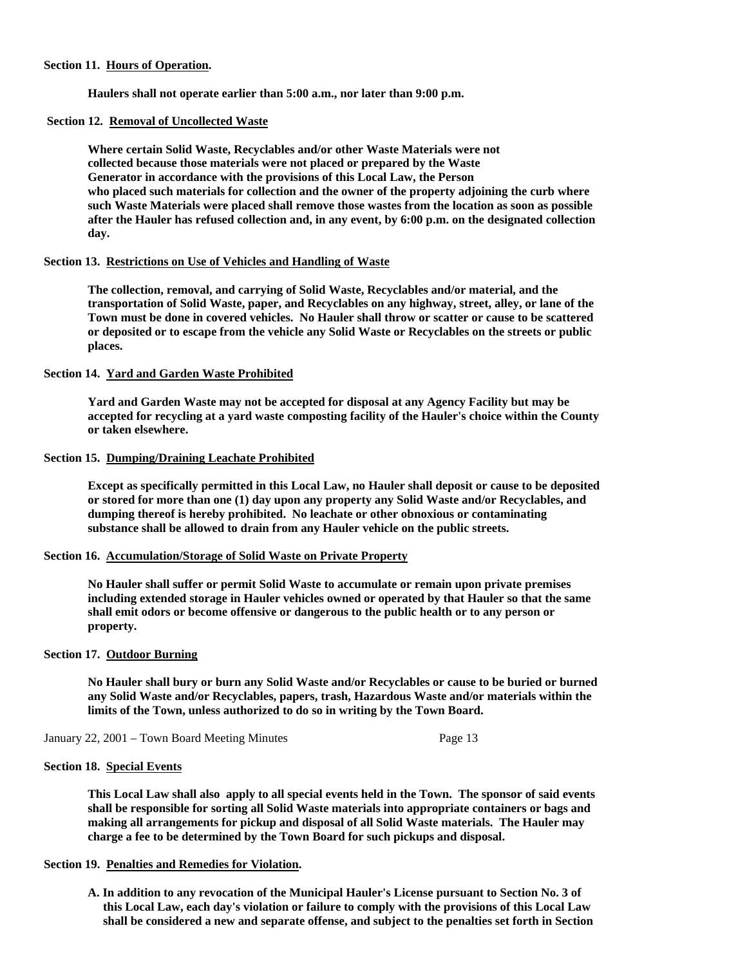#### **Section 11. Hours of Operation.**

 **Haulers shall not operate earlier than 5:00 a.m., nor later than 9:00 p.m.** 

# **Section 12. Removal of Uncollected Waste**

 **Where certain Solid Waste, Recyclables and/or other Waste Materials were not collected because those materials were not placed or prepared by the Waste Generator in accordance with the provisions of this Local Law, the Person who placed such materials for collection and the owner of the property adjoining the curb where such Waste Materials were placed shall remove those wastes from the location as soon as possible after the Hauler has refused collection and, in any event, by 6:00 p.m. on the designated collection day.** 

# **Section 13. Restrictions on Use of Vehicles and Handling of Waste**

 **The collection, removal, and carrying of Solid Waste, Recyclables and/or material, and the transportation of Solid Waste, paper, and Recyclables on any highway, street, alley, or lane of the Town must be done in covered vehicles. No Hauler shall throw or scatter or cause to be scattered or deposited or to escape from the vehicle any Solid Waste or Recyclables on the streets or public places.** 

#### **Section 14. Yard and Garden Waste Prohibited**

 **Yard and Garden Waste may not be accepted for disposal at any Agency Facility but may be accepted for recycling at a yard waste composting facility of the Hauler's choice within the County or taken elsewhere.** 

#### **Section 15. Dumping/Draining Leachate Prohibited**

 **Except as specifically permitted in this Local Law, no Hauler shall deposit or cause to be deposited or stored for more than one (1) day upon any property any Solid Waste and/or Recyclables, and dumping thereof is hereby prohibited. No leachate or other obnoxious or contaminating substance shall be allowed to drain from any Hauler vehicle on the public streets.** 

### **Section 16. Accumulation/Storage of Solid Waste on Private Property**

 **No Hauler shall suffer or permit Solid Waste to accumulate or remain upon private premises including extended storage in Hauler vehicles owned or operated by that Hauler so that the same shall emit odors or become offensive or dangerous to the public health or to any person or property.** 

#### **Section 17. Outdoor Burning**

 **No Hauler shall bury or burn any Solid Waste and/or Recyclables or cause to be buried or burned any Solid Waste and/or Recyclables, papers, trash, Hazardous Waste and/or materials within the limits of the Town, unless authorized to do so in writing by the Town Board.** 

January 22, 2001 – Town Board Meeting Minutes Page 13

### **Section 18. Special Events**

 **This Local Law shall also apply to all special events held in the Town. The sponsor of said events shall be responsible for sorting all Solid Waste materials into appropriate containers or bags and making all arrangements for pickup and disposal of all Solid Waste materials. The Hauler may charge a fee to be determined by the Town Board for such pickups and disposal.** 

#### **Section 19. Penalties and Remedies for Violation.**

 **A. In addition to any revocation of the Municipal Hauler's License pursuant to Section No. 3 of this Local Law, each day's violation or failure to comply with the provisions of this Local Law shall be considered a new and separate offense, and subject to the penalties set forth in Section**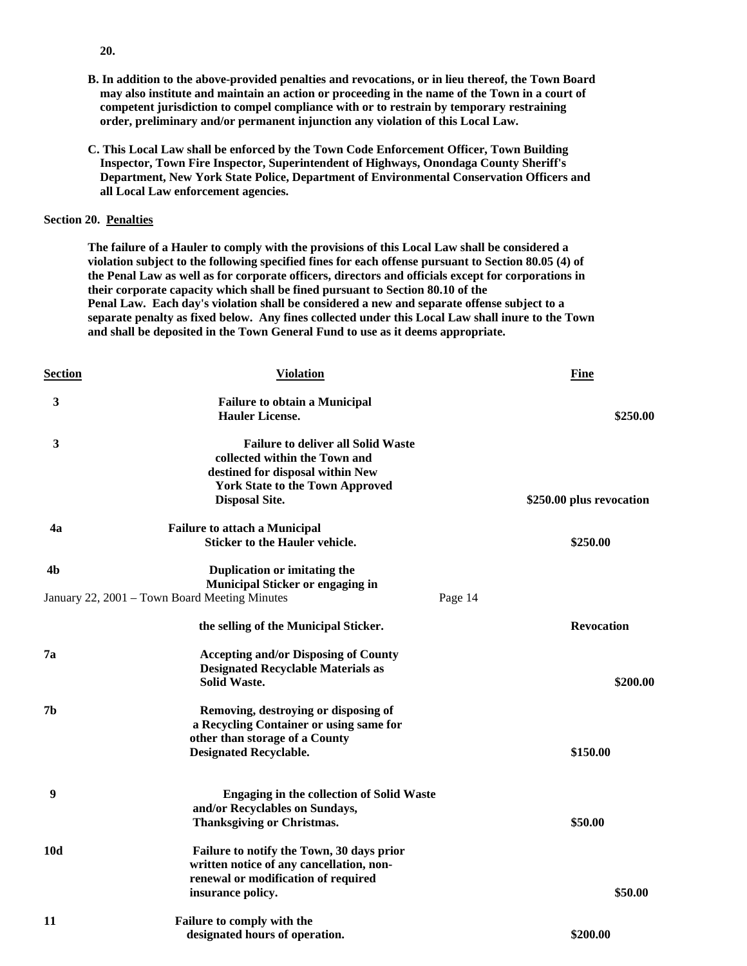- **B. In addition to the above-provided penalties and revocations, or in lieu thereof, the Town Board may also institute and maintain an action or proceeding in the name of the Town in a court of competent jurisdiction to compel compliance with or to restrain by temporary restraining order, preliminary and/or permanent injunction any violation of this Local Law.**
- **C. This Local Law shall be enforced by the Town Code Enforcement Officer, Town Building Inspector, Town Fire Inspector, Superintendent of Highways, Onondaga County Sheriff's Department, New York State Police, Department of Environmental Conservation Officers and all Local Law enforcement agencies.**

#### **Section 20. Penalties**

 **The failure of a Hauler to comply with the provisions of this Local Law shall be considered a violation subject to the following specified fines for each offense pursuant to Section 80.05 (4) of the Penal Law as well as for corporate officers, directors and officials except for corporations in their corporate capacity which shall be fined pursuant to Section 80.10 of the Penal Law. Each day's violation shall be considered a new and separate offense subject to a separate penalty as fixed below. Any fines collected under this Local Law shall inure to the Town and shall be deposited in the Town General Fund to use as it deems appropriate.** 

| <b>Section</b> | <b>Violation</b>                                                                   |         | <b>Fine</b>              |
|----------------|------------------------------------------------------------------------------------|---------|--------------------------|
| 3              | <b>Failure to obtain a Municipal</b>                                               |         |                          |
|                | <b>Hauler License.</b>                                                             |         | \$250.00                 |
| 3              | <b>Failure to deliver all Solid Waste</b>                                          |         |                          |
|                | collected within the Town and                                                      |         |                          |
|                | destined for disposal within New                                                   |         |                          |
|                | <b>York State to the Town Approved</b>                                             |         |                          |
|                | <b>Disposal Site.</b>                                                              |         | \$250.00 plus revocation |
| 4a             | <b>Failure to attach a Municipal</b>                                               |         |                          |
|                | <b>Sticker to the Hauler vehicle.</b>                                              |         | \$250.00                 |
| 4b             | Duplication or imitating the                                                       |         |                          |
|                | <b>Municipal Sticker or engaging in</b>                                            |         |                          |
|                | January 22, 2001 - Town Board Meeting Minutes                                      | Page 14 |                          |
|                | the selling of the Municipal Sticker.                                              |         | <b>Revocation</b>        |
| 7а             | <b>Accepting and/or Disposing of County</b>                                        |         |                          |
|                | <b>Designated Recyclable Materials as</b>                                          |         |                          |
|                | <b>Solid Waste.</b>                                                                |         | \$200.00                 |
| 7 <sub>b</sub> | Removing, destroying or disposing of                                               |         |                          |
|                | a Recycling Container or using same for                                            |         |                          |
|                | other than storage of a County                                                     |         |                          |
|                | <b>Designated Recyclable.</b>                                                      |         | \$150.00                 |
| 9              |                                                                                    |         |                          |
|                | <b>Engaging in the collection of Solid Waste</b><br>and/or Recyclables on Sundays, |         |                          |
|                | <b>Thanksgiving or Christmas.</b>                                                  |         | \$50.00                  |
|                |                                                                                    |         |                          |
| 10d            | Failure to notify the Town, 30 days prior                                          |         |                          |
|                | written notice of any cancellation, non-                                           |         |                          |
|                | renewal or modification of required                                                |         |                          |
|                | insurance policy.                                                                  |         | \$50.00                  |
| 11             | Failure to comply with the                                                         |         |                          |
|                | designated hours of operation.                                                     |         | \$200.00                 |

 **20.**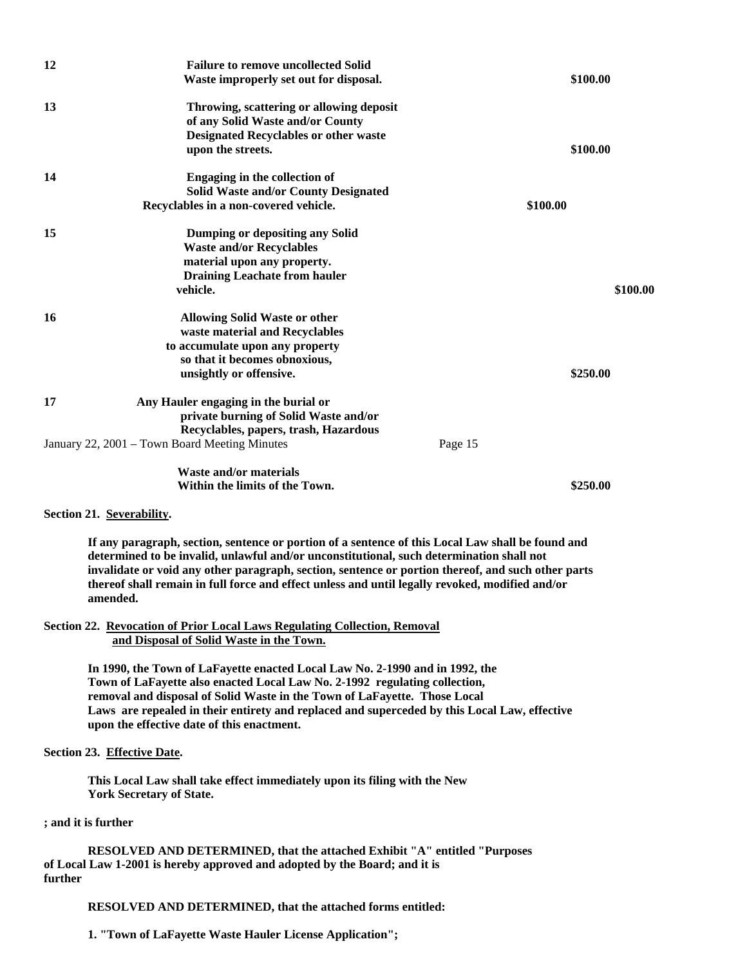| 12 | <b>Failure to remove uncollected Solid</b>    |         |          |          |
|----|-----------------------------------------------|---------|----------|----------|
|    | Waste improperly set out for disposal.        |         | \$100.00 |          |
| 13 | Throwing, scattering or allowing deposit      |         |          |          |
|    | of any Solid Waste and/or County              |         |          |          |
|    | <b>Designated Recyclables or other waste</b>  |         |          |          |
|    | upon the streets.                             |         | \$100.00 |          |
| 14 | Engaging in the collection of                 |         |          |          |
|    | <b>Solid Waste and/or County Designated</b>   |         |          |          |
|    | Recyclables in a non-covered vehicle.         |         | \$100.00 |          |
| 15 | Dumping or depositing any Solid               |         |          |          |
|    | <b>Waste and/or Recyclables</b>               |         |          |          |
|    | material upon any property.                   |         |          |          |
|    | <b>Draining Leachate from hauler</b>          |         |          |          |
|    | vehicle.                                      |         |          | \$100.00 |
|    |                                               |         |          |          |
| 16 | <b>Allowing Solid Waste or other</b>          |         |          |          |
|    | waste material and Recyclables                |         |          |          |
|    | to accumulate upon any property               |         |          |          |
|    | so that it becomes obnoxious,                 |         |          |          |
|    | unsightly or offensive.                       |         | \$250.00 |          |
|    |                                               |         |          |          |
| 17 | Any Hauler engaging in the burial or          |         |          |          |
|    | private burning of Solid Waste and/or         |         |          |          |
|    | Recyclables, papers, trash, Hazardous         |         |          |          |
|    | January 22, 2001 – Town Board Meeting Minutes | Page 15 |          |          |
|    | <b>Waste and/or materials</b>                 |         |          |          |
|    | Within the limits of the Town.                |         | \$250.00 |          |

#### **Section 21. Severability.**

 **If any paragraph, section, sentence or portion of a sentence of this Local Law shall be found and determined to be invalid, unlawful and/or unconstitutional, such determination shall not invalidate or void any other paragraph, section, sentence or portion thereof, and such other parts thereof shall remain in full force and effect unless and until legally revoked, modified and/or amended.** 

**Section 22. Revocation of Prior Local Laws Regulating Collection, Removal and Disposal of Solid Waste in the Town.**

> **In 1990, the Town of LaFayette enacted Local Law No. 2-1990 and in 1992, the Town of LaFayette also enacted Local Law No. 2-1992 regulating collection, removal and disposal of Solid Waste in the Town of LaFayette. Those Local Laws are repealed in their entirety and replaced and superceded by this Local Law, effective upon the effective date of this enactment.**

# **Section 23. Effective Date.**

 **This Local Law shall take effect immediately upon its filing with the New York Secretary of State.** 

#### **; and it is further**

 **RESOLVED AND DETERMINED, that the attached Exhibit "A" entitled "Purposes of Local Law 1-2001 is hereby approved and adopted by the Board; and it is further** 

### **RESOLVED AND DETERMINED, that the attached forms entitled:**

 **1. "Town of LaFayette Waste Hauler License Application";**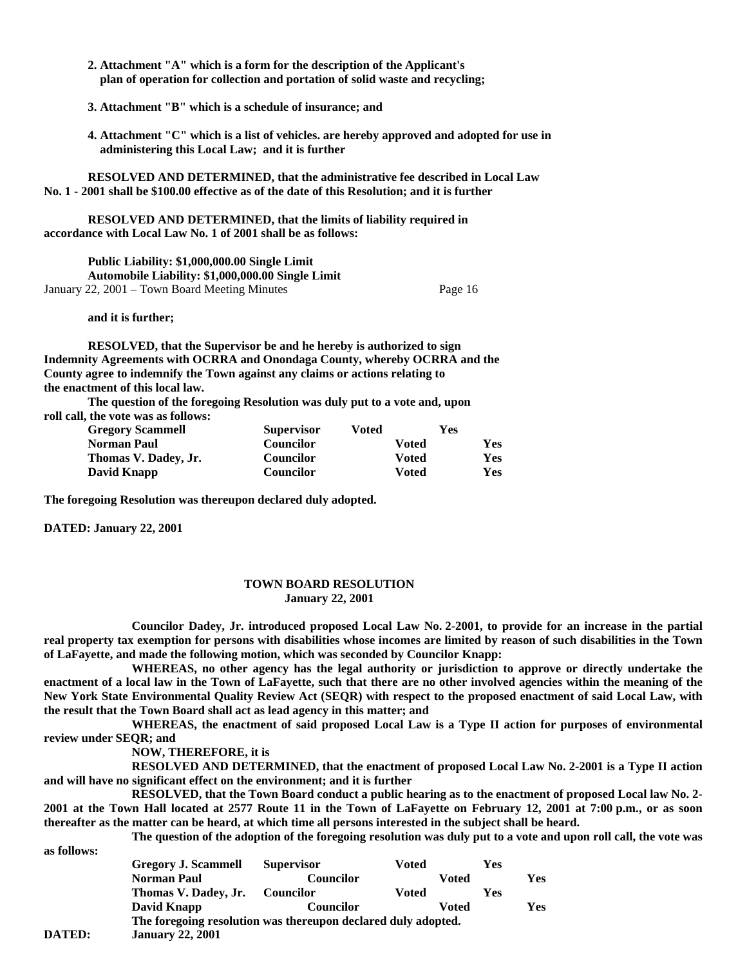- **2. Attachment "A" which is a form for the description of the Applicant's plan of operation for collection and portation of solid waste and recycling;**
- **3. Attachment "B" which is a schedule of insurance; and**
- **4. Attachment "C" which is a list of vehicles. are hereby approved and adopted for use in administering this Local Law; and it is further**

 **RESOLVED AND DETERMINED, that the administrative fee described in Local Law No. 1 - 2001 shall be \$100.00 effective as of the date of this Resolution; and it is further** 

 **RESOLVED AND DETERMINED, that the limits of liability required in accordance with Local Law No. 1 of 2001 shall be as follows:** 

 **Public Liability: \$1,000,000.00 Single Limit Automobile Liability: \$1,000,000.00 Single Limit**  January 22, 2001 – Town Board Meeting Minutes Page 16

 **and it is further;** 

 **RESOLVED, that the Supervisor be and he hereby is authorized to sign Indemnity Agreements with OCRRA and Onondaga County, whereby OCRRA and the County agree to indemnify the Town against any claims or actions relating to the enactment of this local law.** 

 **The question of the foregoing Resolution was duly put to a vote and, upon roll call, the vote was as follows:** 

| <b>Gregory Scammell</b> | <b>Supervisor</b> | Voted | Yes        |
|-------------------------|-------------------|-------|------------|
| <b>Norman Paul</b>      | Councilor         | Voted | <b>Yes</b> |
| Thomas V. Dadey, Jr.    | <b>Councilor</b>  | Voted | <b>Yes</b> |
| David Knapp             | <b>Councilor</b>  | Voted | <b>Yes</b> |

**The foregoing Resolution was thereupon declared duly adopted.** 

**DATED: January 22, 2001** 

### **TOWN BOARD RESOLUTION January 22, 2001**

**Councilor Dadey, Jr. introduced proposed Local Law No. 2-2001, to provide for an increase in the partial real property tax exemption for persons with disabilities whose incomes are limited by reason of such disabilities in the Town of LaFayette, and made the following motion, which was seconded by Councilor Knapp:** 

**WHEREAS, no other agency has the legal authority or jurisdiction to approve or directly undertake the enactment of a local law in the Town of LaFayette, such that there are no other involved agencies within the meaning of the New York State Environmental Quality Review Act (SEQR) with respect to the proposed enactment of said Local Law, with the result that the Town Board shall act as lead agency in this matter; and** 

**WHEREAS, the enactment of said proposed Local Law is a Type II action for purposes of environmental review under SEQR; and** 

**NOW, THEREFORE, it is** 

**RESOLVED AND DETERMINED, that the enactment of proposed Local Law No. 2-2001 is a Type II action and will have no significant effect on the environment; and it is further** 

**RESOLVED, that the Town Board conduct a public hearing as to the enactment of proposed Local law No. 2- 2001 at the Town Hall located at 2577 Route 11 in the Town of LaFayette on February 12, 2001 at 7:00 p.m., or as soon thereafter as the matter can be heard, at which time all persons interested in the subject shall be heard.** 

**The question of the adoption of the foregoing resolution was duly put to a vote and upon roll call, the vote was** 

**as follows:**  Gregory J. Scammell Supervisor Voted Yes **Norman Paul Councilor Voted Yes Thomas V. Dadey, Jr. Councilor Voted Ves David Knapp Councilor Voted Yes The foregoing resolution was thereupon declared duly adopted. DATED: January 22, 2001**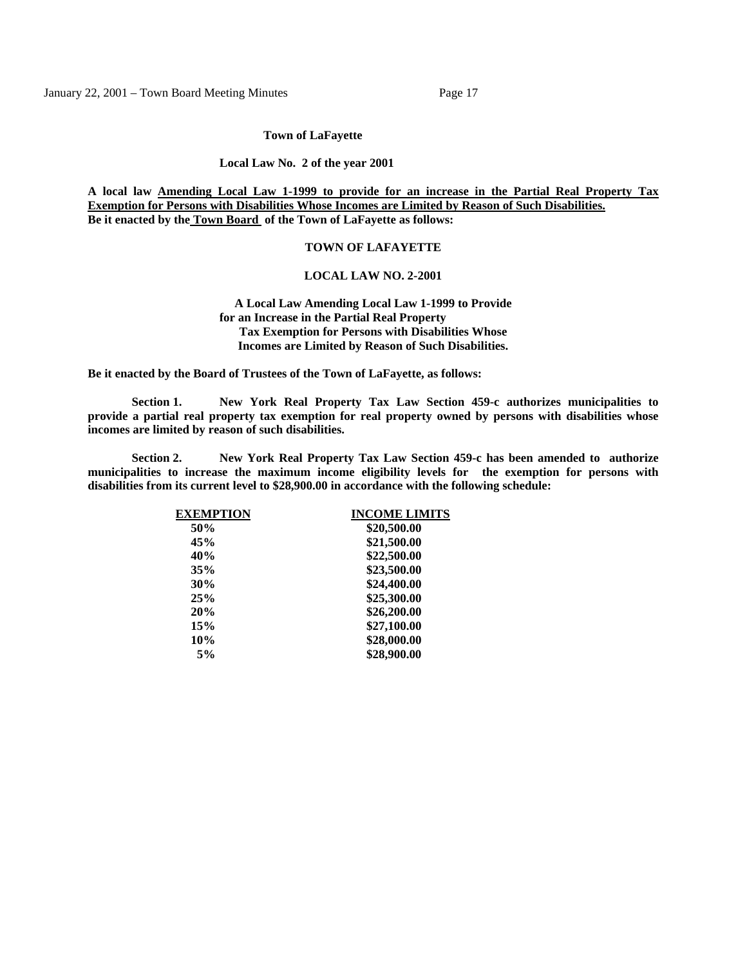January 22, 2001 – Town Board Meeting Minutes Page 17

**Town of LaFayette**

**Local Law No. 2 of the year 2001**

**A local law Amending Local Law 1-1999 to provide for an increase in the Partial Real Property Tax Exemption for Persons with Disabilities Whose Incomes are Limited by Reason of Such Disabilities. Be it enacted by the Town Board of the Town of LaFayette as follows:**

### **TOWN OF LAFAYETTE**

# **LOCAL LAW NO. 2-2001**

 **A Local Law Amending Local Law 1-1999 to Provide for an Increase in the Partial Real Property Tax Exemption for Persons with Disabilities Whose Incomes are Limited by Reason of Such Disabilities.**

**Be it enacted by the Board of Trustees of the Town of LaFayette, as follows:** 

**Section 1. New York Real Property Tax Law Section 459-c authorizes municipalities to provide a partial real property tax exemption for real property owned by persons with disabilities whose incomes are limited by reason of such disabilities.** 

**Section 2. New York Real Property Tax Law Section 459-c has been amended to authorize municipalities to increase the maximum income eligibility levels for the exemption for persons with disabilities from its current level to \$28,900.00 in accordance with the following schedule:** 

| <b>EXEMPTION</b> | <b>INCOME LIMITS</b> |
|------------------|----------------------|
| 50%              | \$20,500.00          |
| 45%              | \$21,500.00          |
| 40%              | \$22,500.00          |
| 35%              | \$23,500.00          |
| 30%              | \$24,400.00          |
| 25%              | \$25,300.00          |
| 20%              | \$26,200.00          |
| 15%              | \$27,100.00          |
| 10%              | \$28,000.00          |
| 5%               | \$28,900.00          |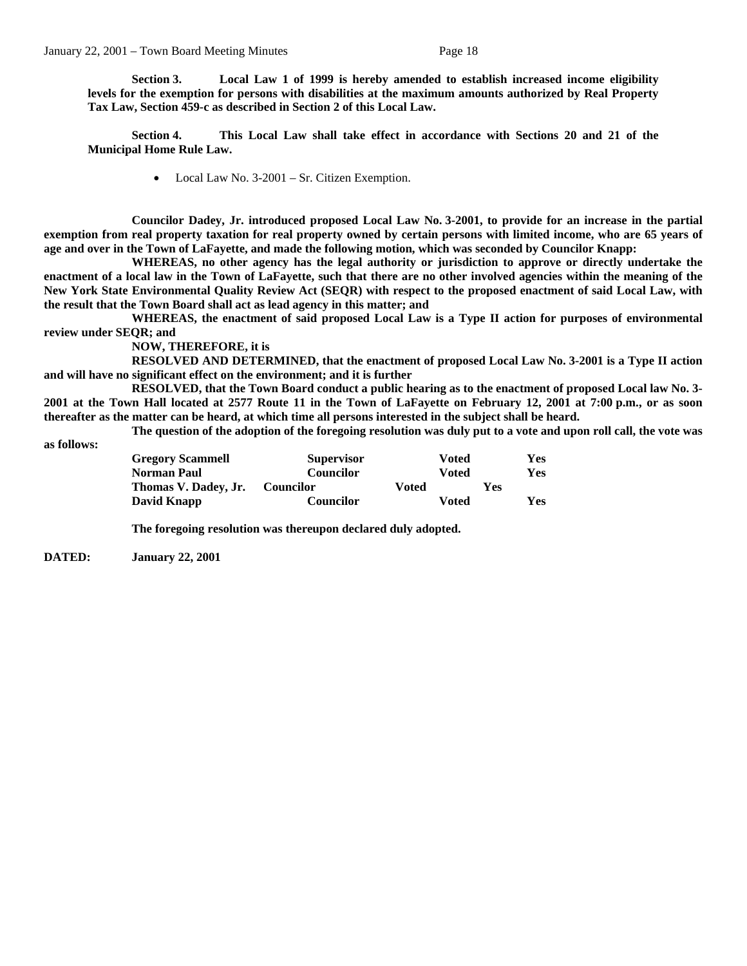**Section 3. Local Law 1 of 1999 is hereby amended to establish increased income eligibility levels for the exemption for persons with disabilities at the maximum amounts authorized by Real Property Tax Law, Section 459-c as described in Section 2 of this Local Law.** 

**Section 4. This Local Law shall take effect in accordance with Sections 20 and 21 of the Municipal Home Rule Law.** 

• Local Law No. 3-2001 – Sr. Citizen Exemption.

**Councilor Dadey, Jr. introduced proposed Local Law No. 3-2001, to provide for an increase in the partial exemption from real property taxation for real property owned by certain persons with limited income, who are 65 years of age and over in the Town of LaFayette, and made the following motion, which was seconded by Councilor Knapp:** 

**WHEREAS, no other agency has the legal authority or jurisdiction to approve or directly undertake the enactment of a local law in the Town of LaFayette, such that there are no other involved agencies within the meaning of the New York State Environmental Quality Review Act (SEQR) with respect to the proposed enactment of said Local Law, with the result that the Town Board shall act as lead agency in this matter; and** 

**WHEREAS, the enactment of said proposed Local Law is a Type II action for purposes of environmental review under SEQR; and** 

**NOW, THEREFORE, it is** 

**RESOLVED AND DETERMINED, that the enactment of proposed Local Law No. 3-2001 is a Type II action and will have no significant effect on the environment; and it is further** 

**RESOLVED, that the Town Board conduct a public hearing as to the enactment of proposed Local law No. 3- 2001 at the Town Hall located at 2577 Route 11 in the Town of LaFayette on February 12, 2001 at 7:00 p.m., or as soon thereafter as the matter can be heard, at which time all persons interested in the subject shall be heard.** 

**The question of the adoption of the foregoing resolution was duly put to a vote and upon roll call, the vote was** 

**as follows:** 

| <b>Gregory Scammell</b> | <b>Supervisor</b> | Voted        |     | Yes        |
|-------------------------|-------------------|--------------|-----|------------|
| <b>Norman Paul</b>      | <b>Councilor</b>  | Voted        |     | Yes        |
| Thomas V. Dadey, Jr.    | <b>Councilor</b>  | Voted        | Yes |            |
| David Knapp             | Councilor         | <b>Voted</b> |     | <b>Yes</b> |

**The foregoing resolution was thereupon declared duly adopted.** 

**DATED: January 22, 2001**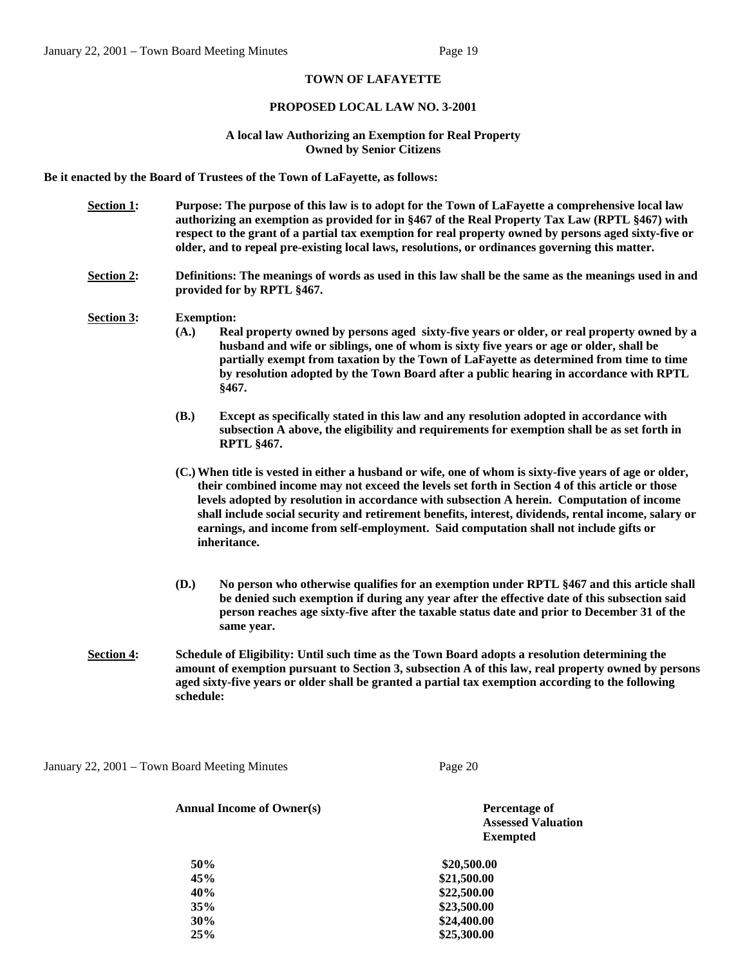# **TOWN OF LAFAYETTE**

### **PROPOSED LOCAL LAW NO. 3-2001**

### **A local law Authorizing an Exemption for Real Property Owned by Senior Citizens**

**Be it enacted by the Board of Trustees of the Town of LaFayette, as follows:** 

- **Section 1: Purpose: The purpose of this law is to adopt for the Town of LaFayette a comprehensive local law authorizing an exemption as provided for in §467 of the Real Property Tax Law (RPTL §467) with respect to the grant of a partial tax exemption for real property owned by persons aged sixty-five or older, and to repeal pre-existing local laws, resolutions, or ordinances governing this matter.**
- **Section 2: Definitions: The meanings of words as used in this law shall be the same as the meanings used in and provided for by RPTL §467.**

#### **Section 3: Exemption:**

- **(A.) Real property owned by persons aged sixty-five years or older, or real property owned by a husband and wife or siblings, one of whom is sixty five years or age or older, shall be partially exempt from taxation by the Town of LaFayette as determined from time to time by resolution adopted by the Town Board after a public hearing in accordance with RPTL §467.**
- **(B.) Except as specifically stated in this law and any resolution adopted in accordance with subsection A above, the eligibility and requirements for exemption shall be as set forth in RPTL §467.**
- **(C.)When title is vested in either a husband or wife, one of whom is sixty-five years of age or older, their combined income may not exceed the levels set forth in Section 4 of this article or those levels adopted by resolution in accordance with subsection A herein. Computation of income shall include social security and retirement benefits, interest, dividends, rental income, salary or earnings, and income from self-employment. Said computation shall not include gifts or inheritance.**
- **(D.) No person who otherwise qualifies for an exemption under RPTL §467 and this article shall be denied such exemption if during any year after the effective date of this subsection said person reaches age sixty-five after the taxable status date and prior to December 31 of the same year.**
- **Section 4: Schedule of Eligibility: Until such time as the Town Board adopts a resolution determining the amount of exemption pursuant to Section 3, subsection A of this law, real property owned by persons aged sixty-five years or older shall be granted a partial tax exemption according to the following schedule:**

January 22, 2001 – Town Board Meeting Minutes Page 20

| <b>Annual Income of Owner(s)</b> | Percentage of<br><b>Assessed Valuation</b> |
|----------------------------------|--------------------------------------------|
|                                  | <b>Exempted</b>                            |
| 50%                              | \$20,500.00                                |
| 45%                              | \$21,500.00                                |
| 40%                              | \$22,500.00                                |
| 35%                              | \$23,500.00                                |
| 30%                              | \$24,400.00                                |
| 25%                              | \$25,300,00                                |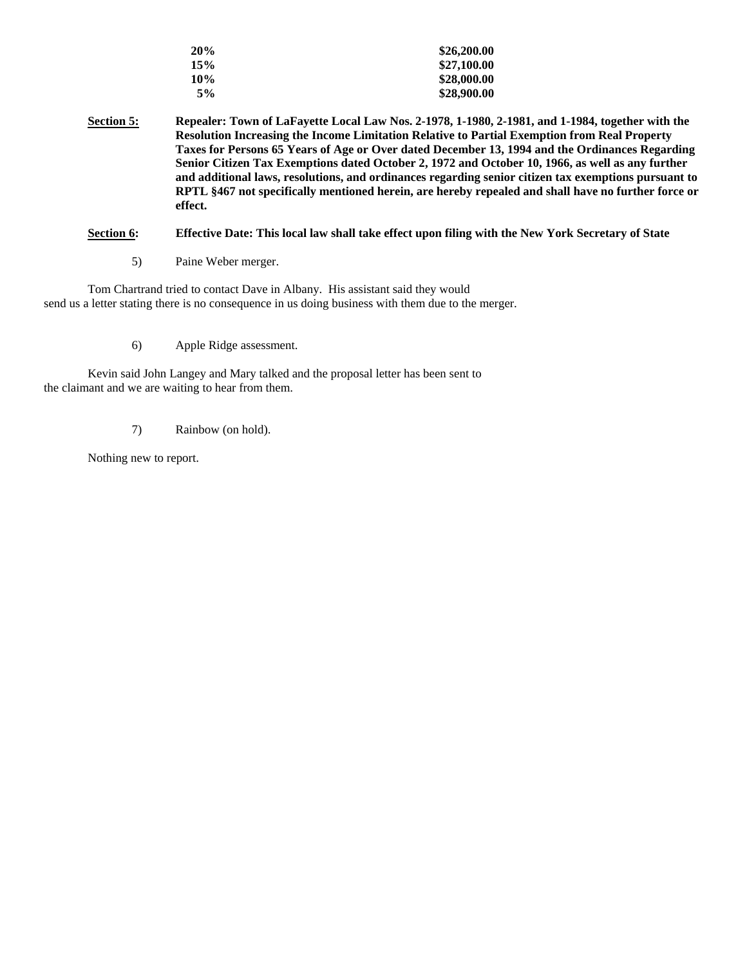| 20% | \$26,200.00 |
|-----|-------------|
| 15% | \$27,100.00 |
| 10% | \$28,000.00 |
| 5%  | \$28,900.00 |

**Section 5: Repealer: Town of LaFayette Local Law Nos. 2-1978, 1-1980, 2-1981, and 1-1984, together with the Resolution Increasing the Income Limitation Relative to Partial Exemption from Real Property Taxes for Persons 65 Years of Age or Over dated December 13, 1994 and the Ordinances Regarding Senior Citizen Tax Exemptions dated October 2, 1972 and October 10, 1966, as well as any further and additional laws, resolutions, and ordinances regarding senior citizen tax exemptions pursuant to RPTL §467 not specifically mentioned herein, are hereby repealed and shall have no further force or effect.** 

# **Section 6: Effective Date: This local law shall take effect upon filing with the New York Secretary of State**

5) Paine Weber merger.

Tom Chartrand tried to contact Dave in Albany. His assistant said they would send us a letter stating there is no consequence in us doing business with them due to the merger.

6) Apple Ridge assessment.

Kevin said John Langey and Mary talked and the proposal letter has been sent to the claimant and we are waiting to hear from them.

7) Rainbow (on hold).

Nothing new to report.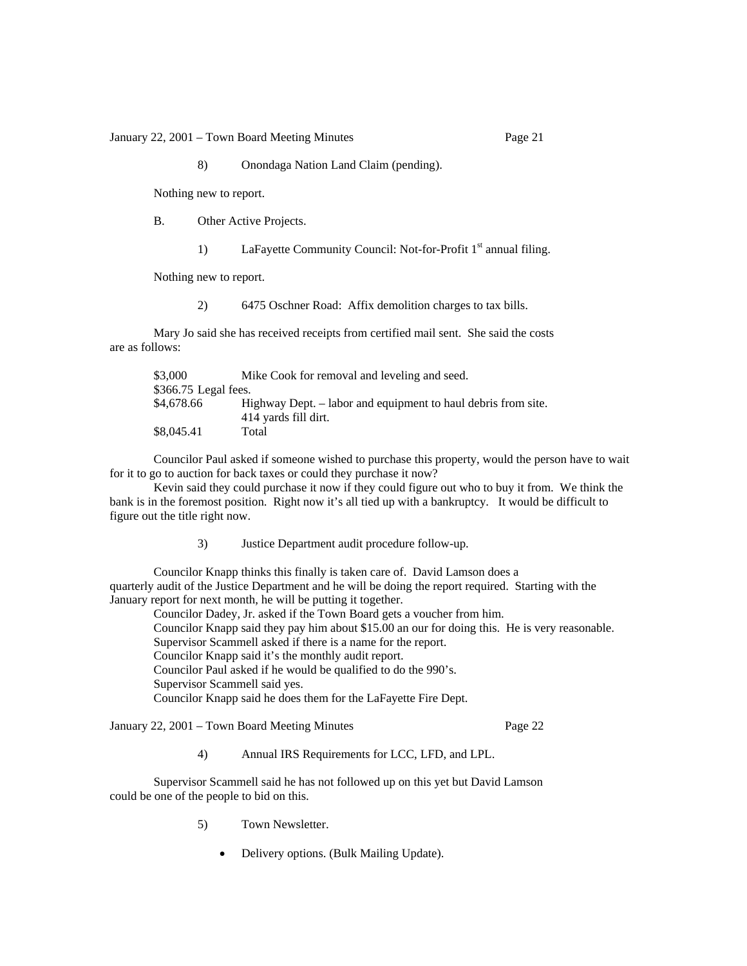January 22, 2001 – Town Board Meeting Minutes Page 21

8) Onondaga Nation Land Claim (pending).

Nothing new to report.

B. Other Active Projects.

1) LaFayette Community Council: Not-for-Profit 1<sup>st</sup> annual filing.

Nothing new to report.

2) 6475 Oschner Road: Affix demolition charges to tax bills.

Mary Jo said she has received receipts from certified mail sent. She said the costs are as follows:

| \$3,000               | Mike Cook for removal and leveling and seed.                                          |
|-----------------------|---------------------------------------------------------------------------------------|
| $$366.75$ Legal fees. |                                                                                       |
| \$4,678.66            | Highway Dept. – labor and equipment to haul debris from site.<br>414 yards fill dirt. |
| \$8,045.41            | Total                                                                                 |

Councilor Paul asked if someone wished to purchase this property, would the person have to wait for it to go to auction for back taxes or could they purchase it now?

 Kevin said they could purchase it now if they could figure out who to buy it from. We think the bank is in the foremost position. Right now it's all tied up with a bankruptcy. It would be difficult to figure out the title right now.

3) Justice Department audit procedure follow-up.

Councilor Knapp thinks this finally is taken care of. David Lamson does a quarterly audit of the Justice Department and he will be doing the report required. Starting with the January report for next month, he will be putting it together.

 Councilor Dadey, Jr. asked if the Town Board gets a voucher from him. Councilor Knapp said they pay him about \$15.00 an our for doing this. He is very reasonable. Supervisor Scammell asked if there is a name for the report. Councilor Knapp said it's the monthly audit report. Councilor Paul asked if he would be qualified to do the 990's. Supervisor Scammell said yes. Councilor Knapp said he does them for the LaFayette Fire Dept.

January 22, 2001 – Town Board Meeting Minutes Page 22

4) Annual IRS Requirements for LCC, LFD, and LPL.

Supervisor Scammell said he has not followed up on this yet but David Lamson could be one of the people to bid on this.

- 5) Town Newsletter.
	- Delivery options. (Bulk Mailing Update).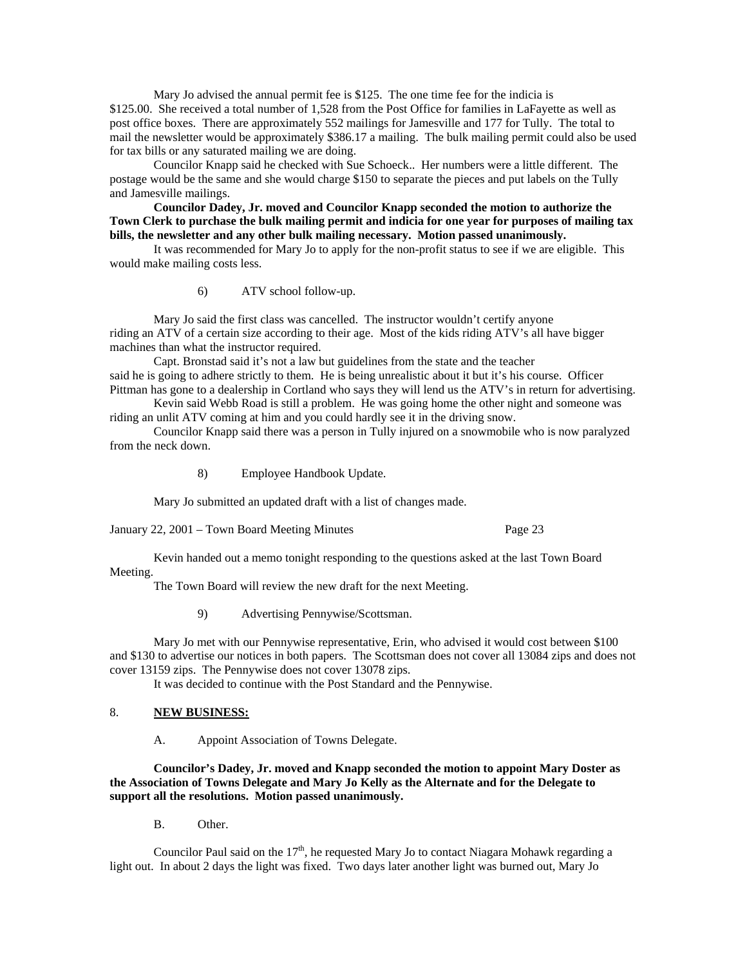Mary Jo advised the annual permit fee is \$125. The one time fee for the indicia is \$125.00. She received a total number of 1,528 from the Post Office for families in LaFayette as well as post office boxes. There are approximately 552 mailings for Jamesville and 177 for Tully. The total to mail the newsletter would be approximately \$386.17 a mailing. The bulk mailing permit could also be used for tax bills or any saturated mailing we are doing.

 Councilor Knapp said he checked with Sue Schoeck.. Her numbers were a little different. The postage would be the same and she would charge \$150 to separate the pieces and put labels on the Tully and Jamesville mailings.

**Councilor Dadey, Jr. moved and Councilor Knapp seconded the motion to authorize the Town Clerk to purchase the bulk mailing permit and indicia for one year for purposes of mailing tax bills, the newsletter and any other bulk mailing necessary. Motion passed unanimously.** 

 It was recommended for Mary Jo to apply for the non-profit status to see if we are eligible. This would make mailing costs less.

6) ATV school follow-up.

Mary Jo said the first class was cancelled. The instructor wouldn't certify anyone riding an ATV of a certain size according to their age. Most of the kids riding ATV's all have bigger machines than what the instructor required.

Capt. Bronstad said it's not a law but guidelines from the state and the teacher said he is going to adhere strictly to them. He is being unrealistic about it but it's his course. Officer Pittman has gone to a dealership in Cortland who says they will lend us the ATV's in return for advertising.

 Kevin said Webb Road is still a problem. He was going home the other night and someone was riding an unlit ATV coming at him and you could hardly see it in the driving snow.

 Councilor Knapp said there was a person in Tully injured on a snowmobile who is now paralyzed from the neck down.

8) Employee Handbook Update.

Mary Jo submitted an updated draft with a list of changes made.

January 22, 2001 – Town Board Meeting Minutes Page 23

 Kevin handed out a memo tonight responding to the questions asked at the last Town Board Meeting.

The Town Board will review the new draft for the next Meeting.

9) Advertising Pennywise/Scottsman.

 Mary Jo met with our Pennywise representative, Erin, who advised it would cost between \$100 and \$130 to advertise our notices in both papers. The Scottsman does not cover all 13084 zips and does not cover 13159 zips. The Pennywise does not cover 13078 zips.

It was decided to continue with the Post Standard and the Pennywise.

# 8. **NEW BUSINESS:**

A. Appoint Association of Towns Delegate.

 **Councilor's Dadey, Jr. moved and Knapp seconded the motion to appoint Mary Doster as the Association of Towns Delegate and Mary Jo Kelly as the Alternate and for the Delegate to support all the resolutions. Motion passed unanimously.** 

B. Other.

Councilor Paul said on the  $17<sup>th</sup>$ , he requested Mary Jo to contact Niagara Mohawk regarding a light out. In about 2 days the light was fixed. Two days later another light was burned out, Mary Jo